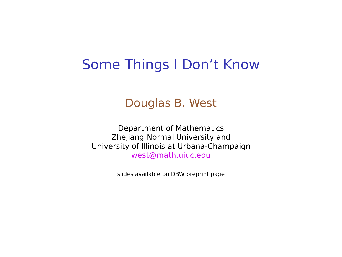#### Some Things I Don't Know

#### Douglas B. West

Department of Mathematics Zhejiang Normal University and University of Illinois at Urbana-Champaign west@math.uiuc.edu

slides available on DBW preprint page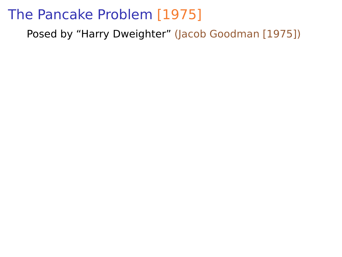Posed by "Harry Dweighter" (Jacob Goodman [1975])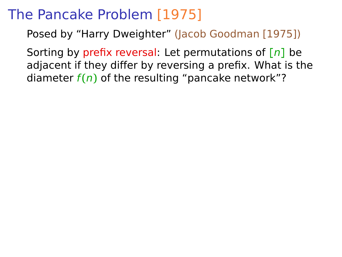Posed by "Harry Dweighter" (Jacob Goodman [1975])

Sorting by prefix reversal: Let permutations of **[**n**]** be adjacent if they differ by reversing a prefix. What is the diameter  $f(n)$  of the resulting "pancake network"?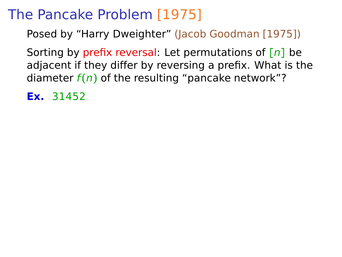Posed by "Harry Dweighter" (Jacob Goodman [1975])

Sorting by prefix reversal: Let permutations of **[**n**]** be adjacent if they differ by reversing a prefix. What is the diameter  $f(n)$  of the resulting "pancake network"?

**Ex.** 31452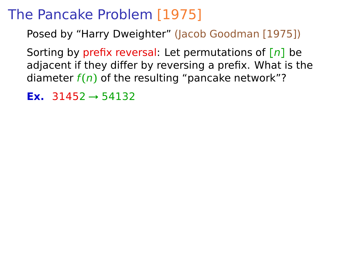Posed by "Harry Dweighter" (Jacob Goodman [1975])

Sorting by prefix reversal: Let permutations of **[**n**]** be adjacent if they differ by reversing a prefix. What is the diameter  $f(n)$  of the resulting "pancake network"?

**Ex.** 31452 **→** 54132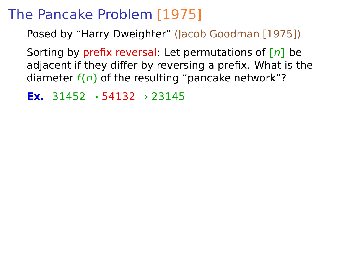Posed by "Harry Dweighter" (Jacob Goodman [1975])

Sorting by prefix reversal: Let permutations of **[**n**]** be adjacent if they differ by reversing a prefix. What is the diameter  $f(n)$  of the resulting "pancake network"?

**Ex.** 31452 **→** 54132 **→** 23145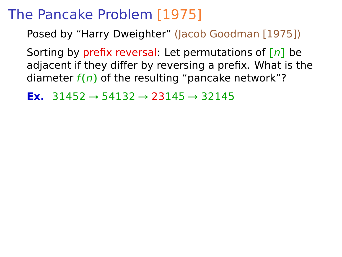Posed by "Harry Dweighter" (Jacob Goodman [1975])

Sorting by prefix reversal: Let permutations of **[**n**]** be adjacent if they differ by reversing a prefix. What is the diameter  $f(n)$  of the resulting "pancake network"?

**Ex.** 31452 **→** 54132 **→** 23145 **→** 32145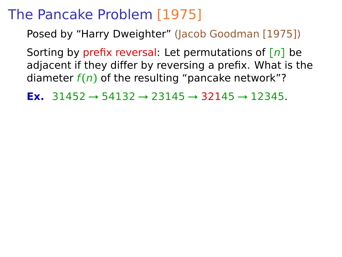Posed by "Harry Dweighter" (Jacob Goodman [1975])

Sorting by prefix reversal: Let permutations of **[**n**]** be adjacent if they differ by reversing a prefix. What is the diameter  $f(n)$  of the resulting "pancake network"?

**Ex.** 31452 **→** 54132 **→** 23145 **→** 32145 **→** 12345.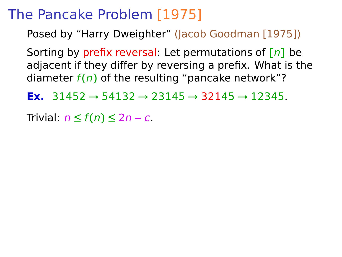Posed by "Harry Dweighter" (Jacob Goodman [1975])

Sorting by prefix reversal: Let permutations of **[**n**]** be adjacent if they differ by reversing a prefix. What is the diameter  $f(n)$  of the resulting "pancake network"?

**Ex.** 31452 **→** 54132 **→** 23145 **→** 32145 **→** 12345.

Trivial: n **≤** f **(**n**) ≤** 2n **−** c.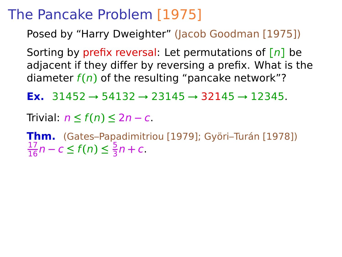Posed by "Harry Dweighter" (Jacob Goodman [1975])

Sorting by prefix reversal: Let permutations of **[**n**]** be adjacent if they differ by reversing a prefix. What is the diameter  $f(n)$  of the resulting "pancake network"?

**Ex.** 31452 **→** 54132 **→** 23145 **→** 32145 **→** 12345.

Trivial: n **≤** f **(**n**) ≤** 2n **−** c.

**Thm.** (Gates–Papadimitriou [1979]; Györi–Turán [1978])  $\frac{17}{16}$ n − c ≤ f(n) ≤  $\frac{5}{3}$  $\frac{3}{3}n + c$ .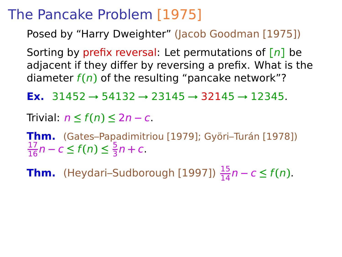Posed by "Harry Dweighter" (Jacob Goodman [1975])

Sorting by prefix reversal: Let permutations of **[**n**]** be adjacent if they differ by reversing a prefix. What is the diameter  $f(n)$  of the resulting "pancake network"?

**Ex.** 31452 **→** 54132 **→** 23145 **→** 32145 **→** 12345.

Trivial: n **≤** f **(**n**) ≤** 2n **−** c.

**Thm.** (Gates–Papadimitriou [1979]; Györi–Turán [1978])  $\frac{17}{16}$ n − c ≤ f(n) ≤  $\frac{5}{3}$  $\frac{3}{3}n + c$ .

**Thm.** (Heydari–Sudborough [1997])  $\frac{15}{14}n - c \leq f(n)$ .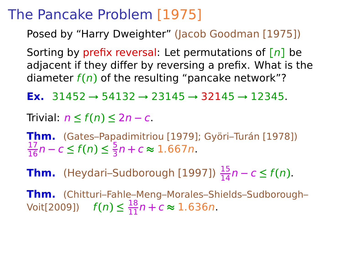Posed by "Harry Dweighter" (Jacob Goodman [1975])

Sorting by prefix reversal: Let permutations of **[**n**]** be adjacent if they differ by reversing a prefix. What is the diameter  $f(n)$  of the resulting "pancake network"?

**Ex.** 31452 **→** 54132 **→** 23145 **→** 32145 **→** 12345.

Trivial: n **≤** f **(**n**) ≤** 2n **−** c.

**Thm.** (Gates–Papadimitriou [1979]; Györi–Turán [1978])  $\frac{17}{16}$ n − c ≤ f(n) ≤  $\frac{5}{3}$  $\frac{3}{3}$ n + c ≈ 1.667n.

**Thm.** (Heydari–Sudborough [1997])  $\frac{15}{14}n - c \leq f(n)$ .

**Thm.** (Chitturi–Fahle–Meng–Morales–Shields–Sudborough–  $\text{Voit}[2009])$   $f(n) ≤ \frac{18}{11}n + c ≈ 1.636n.$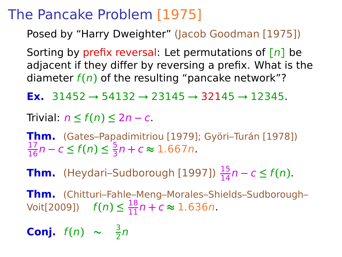Posed by "Harry Dweighter" (Jacob Goodman [1975])

Sorting by prefix reversal: Let permutations of **[**n**]** be adjacent if they differ by reversing a prefix. What is the diameter  $f(n)$  of the resulting "pancake network"?

**Ex.** 31452 **→** 54132 **→** 23145 **→** 32145 **→** 12345.

Trivial: n **≤** f **(**n**) ≤** 2n **−** c.

**Thm.** (Gates–Papadimitriou [1979]; Györi–Turán [1978])  $\frac{17}{16}$ n − c ≤ f(n) ≤  $\frac{5}{3}$  $\frac{3}{3}$ n + c ≈ 1.667n.

**Thm.** (Heydari–Sudborough [1997])  $\frac{15}{14}n - c \leq f(n)$ .

**Thm.** (Chitturi–Fahle–Meng–Morales–Shields–Sudborough–  $\text{Voit}[2009])$   $f(n) ≤ \frac{18}{11}n + c ≈ 1.636n.$ 

**Conj.**  $f(n) \sim \frac{3}{2}$  $\frac{3}{2}n$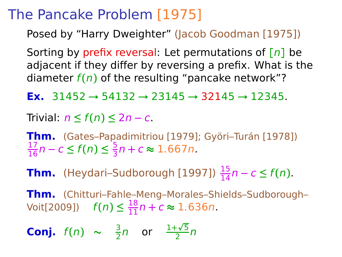Posed by "Harry Dweighter" (Jacob Goodman [1975])

Sorting by prefix reversal: Let permutations of **[**n**]** be adjacent if they differ by reversing a prefix. What is the diameter  $f(n)$  of the resulting "pancake network"?

**Ex.** 31452 **→** 54132 **→** 23145 **→** 32145 **→** 12345.

Trivial: n **≤** f **(**n**) ≤** 2n **−** c.

**Thm.** (Gates–Papadimitriou [1979]; Györi–Turán [1978])  $\frac{17}{16}$ n − c ≤ f(n) ≤  $\frac{5}{3}$  $\frac{3}{3}$ n + c ≈ 1.667n.

**Thm.** (Heydari–Sudborough [1997])  $\frac{15}{14}n - c \leq f(n)$ .

**Thm.** (Chitturi–Fahle–Meng–Morales–Shields–Sudborough–  $\text{Voit}[2009])$   $f(n) ≤ \frac{18}{11}n + c ≈ 1.636n.$ 

**Conj.**  $f(n) \sim \frac{3}{2}$  $\frac{3}{2}n$  or  $\frac{1+\sqrt{5}}{2}$  $\frac{14}{2}n$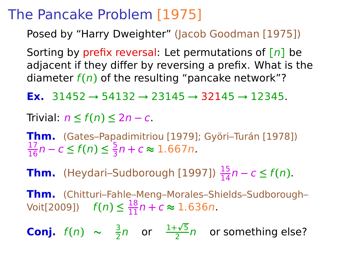Posed by "Harry Dweighter" (Jacob Goodman [1975])

Sorting by prefix reversal: Let permutations of **[**n**]** be adjacent if they differ by reversing a prefix. What is the diameter  $f(n)$  of the resulting "pancake network"?

**Ex.** 31452 **→** 54132 **→** 23145 **→** 32145 **→** 12345.

Trivial: n **≤** f **(**n**) ≤** 2n **−** c.

**Thm.** (Gates–Papadimitriou [1979]; Györi–Turán [1978])  $\frac{17}{16}$ n − c ≤ f(n) ≤  $\frac{5}{3}$  $\frac{3}{3}$ n + c ≈ 1.667n.

**Thm.** (Heydari–Sudborough [1997])  $\frac{15}{14}n - c \leq f(n)$ .

**Thm.** (Chitturi–Fahle–Meng–Morales–Shields–Sudborough–  $\text{Voit}[2009])$   $f(n) ≤ \frac{18}{11}n + c ≈ 1.636n.$ 

**Conj.**  $f(n) \sim \frac{3}{2}$  $\frac{3}{2}n$  or  $\frac{1+\sqrt{5}}{2}$  $\frac{20}{2}$ n or something else?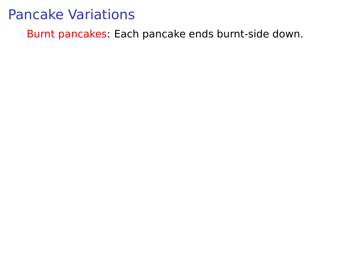Burnt pancakes: Each pancake ends burnt-side down.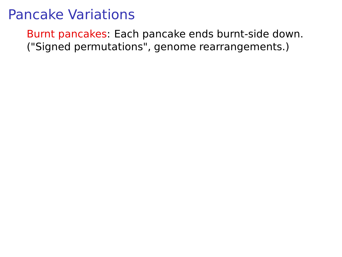Burnt pancakes: Each pancake ends burnt-side down. ("Signed permutations", genome rearrangements.)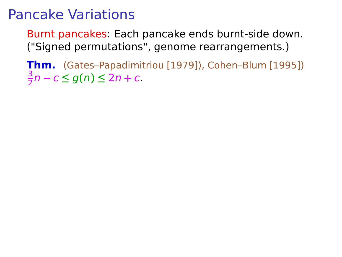Burnt pancakes: Each pancake ends burnt-side down. ("Signed permutations", genome rearrangements.)

**Thm.** (Gates–Papadimitriou [1979]), Cohen–Blum [1995]) 3 2 n **−** c **≤** g**(**n**) ≤** 2n **+** c.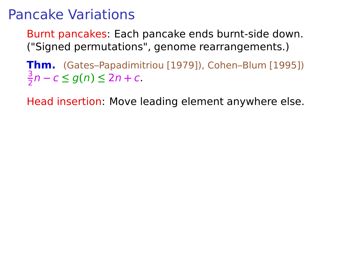Burnt pancakes: Each pancake ends burnt-side down. ("Signed permutations", genome rearrangements.)

**Thm.** (Gates–Papadimitriou [1979]), Cohen–Blum [1995]) 3 2 n **−** c **≤** g**(**n**) ≤** 2n **+** c.

Head insertion: Move leading element anywhere else.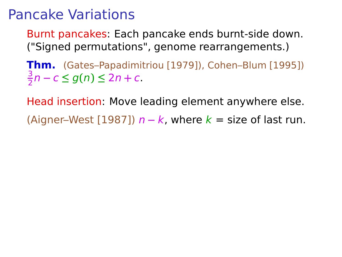Burnt pancakes: Each pancake ends burnt-side down. ("Signed permutations", genome rearrangements.)

**Thm.** (Gates–Papadimitriou [1979]), Cohen–Blum [1995]) 3 2 n **−** c **≤** g**(**n**) ≤** 2n **+** c.

Head insertion: Move leading element anywhere else.

(Aigner–West [1987])  $n - k$ , where  $k =$  size of last run.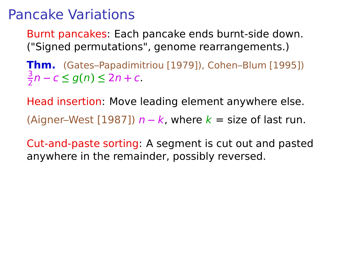Burnt pancakes: Each pancake ends burnt-side down. ("Signed permutations", genome rearrangements.)

**Thm.** (Gates–Papadimitriou [1979]), Cohen–Blum [1995]) 3 2 n **−** c **≤** g**(**n**) ≤** 2n **+** c.

Head insertion: Move leading element anywhere else. (Aigner–West [1987])  $n - k$ , where  $k =$  size of last run.

Cut-and-paste sorting: A segment is cut out and pasted anywhere in the remainder, possibly reversed.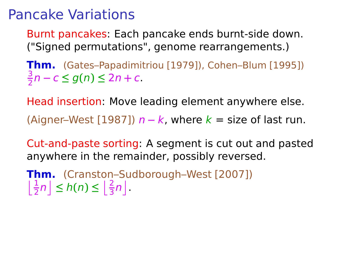Burnt pancakes: Each pancake ends burnt-side down. ("Signed permutations", genome rearrangements.)

**Thm.** (Gates–Papadimitriou [1979]), Cohen–Blum [1995]) 3 2 n **−** c **≤** g**(**n**) ≤** 2n **+** c.

Head insertion: Move leading element anywhere else. (Aigner–West [1987])  $n - k$ , where  $k =$  size of last run.

Cut-and-paste sorting: A segment is cut out and pasted anywhere in the remainder, possibly reversed.

**Thm.** (Cranston–Sudborough–West [2007])  $\left\lfloor \frac{1}{2}n \right\rfloor \leq h(n) \leq \left\lfloor \frac{2}{3}n \right\rfloor$ .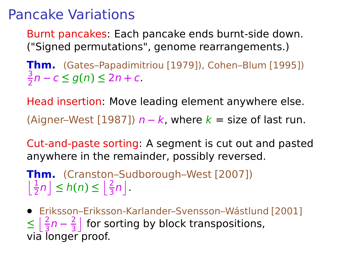Burnt pancakes: Each pancake ends burnt-side down. ("Signed permutations", genome rearrangements.)

**Thm.** (Gates–Papadimitriou [1979]), Cohen–Blum [1995]) 3 2 n **−** c **≤** g**(**n**) ≤** 2n **+** c.

Head insertion: Move leading element anywhere else. (Aigner–West [1987])  $n - k$ , where  $k =$  size of last run.

Cut-and-paste sorting: A segment is cut out and pasted anywhere in the remainder, possibly reversed.

**Thm.** (Cranston–Sudborough–West [2007])  $\left\lfloor \frac{1}{2}n \right\rfloor \leq h(n) \leq \left\lfloor \frac{2}{3}n \right\rfloor$ .

**•** Eriksson–Eriksson-Karlander–Svensson–Wástlund [2001]  $\leq \frac{2}{3}n - \frac{2}{3}$  $\frac{2}{3}$  for sorting by block transpositions, via longer proof.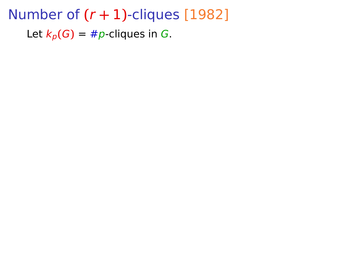Number of  $(r + 1)$ -cliques [1982] Let  $k_p(G) = \#p$ -cliques in G.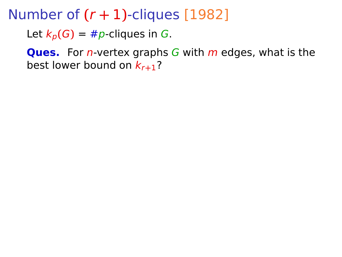Let  $k_p(G) = \#p$ -cliques in G.

**Ques.** For *n*-vertex graphs G with *m* edges, what is the best lower bound on kr**+**1?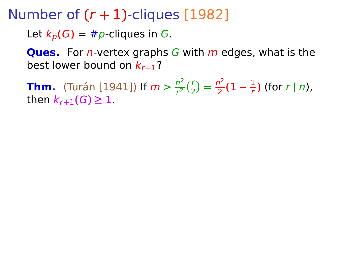Let  $k_p(G) = \#p$ -cliques in G.

**Ques.** For *n*-vertex graphs G with *m* edges, what is the best lower bound on kr**+**1?

**Thm.** (Turán [1941]) If  $m > \frac{n^2}{r^2}$  $\frac{n^2}{r^2} {r \choose 2} = \frac{n^2}{2}$  $\frac{2^2}{2}(1-\frac{1}{r})$  $\frac{1}{r}$ ) (for  $r | n$ ), **then**  $k_{r+1}$  (*G*) ≥ 1.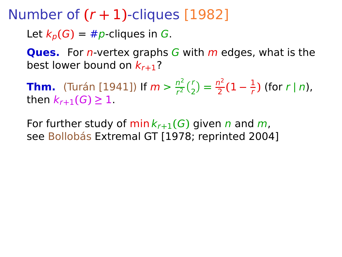Let  $k_p(G) = \#p$ -cliques in G.

**Ques.** For *n*-vertex graphs G with *m* edges, what is the best lower bound on kr**+**1?

**Thm.** (Turán [1941]) If  $m > \frac{n^2}{r^2}$  $\frac{n^2}{r^2} {r \choose 2} = \frac{n^2}{2}$  $\frac{2^2}{2}(1-\frac{1}{r})$  $\frac{1}{r}$ ) (for  $r | n$ ), **then**  $k_{r+1}$  (*G*) ≥ 1.

For further study of  $\min k_{r+1}(G)$  given n and m, see Bollobás Extremal GT [1978; reprinted 2004]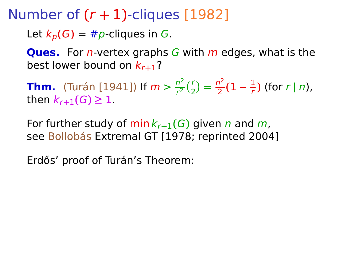Let  $k_p(G) = \#p$ -cliques in G.

**Ques.** For *n*-vertex graphs G with *m* edges, what is the best lower bound on kr**+**1?

**Thm.** (Turán [1941]) If  $m > \frac{n^2}{r^2}$  $\frac{n^2}{r^2} {r \choose 2} = \frac{n^2}{2}$  $\frac{2^2}{2}(1-\frac{1}{r})$  $\frac{1}{r}$ ) (for  $r | n$ ), **then**  $k_{r+1}$  (*G*) ≥ 1.

For further study of  $\min k_{r+1}(G)$  given n and m, see Bollobás Extremal GT [1978; reprinted 2004]

Erdős' proof of Turán's Theorem: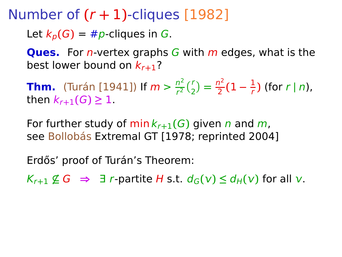Let  $k_p(G) = \#p$ -cliques in G.

**Ques.** For *n*-vertex graphs G with *m* edges, what is the best lower bound on kr**+**1?

**Thm.** (Turán [1941]) If  $m > \frac{n^2}{r^2}$  $\frac{n^2}{r^2} {r \choose 2} = \frac{n^2}{2}$  $\frac{2^2}{2}(1-\frac{1}{r})$  $\frac{1}{r}$ ) (for  $r | n$ ), **then**  $k_{r+1}$  (*G*) ≥ 1.

For further study of  $\min k_{r+1}(G)$  given n and m, see Bollobás Extremal GT [1978; reprinted 2004]

Erdős' proof of Turán's Theorem:

 $K_{r+1} \nsubseteq G \Rightarrow \exists r$ -partite H s.t.  $d_G(v) \leq d_H(v)$  for all v.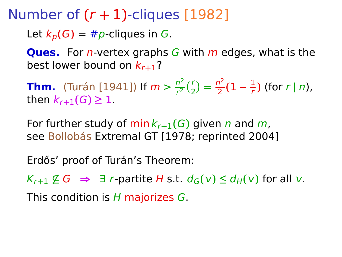Let  $k_p(G) = \#p$ -cliques in G.

**Ques.** For *n*-vertex graphs G with *m* edges, what is the best lower bound on kr**+**1?

**Thm.** (Turán [1941]) If  $m > \frac{n^2}{r^2}$  $\frac{n^2}{r^2} {r \choose 2} = \frac{n^2}{2}$  $\frac{2^2}{2}(1-\frac{1}{r})$  $\frac{1}{r}$ ) (for  $r | n$ ), **then**  $k_{r+1}$  (*G*) ≥ 1.

For further study of  $\min k_{r+1}(G)$  given n and m, see Bollobás Extremal GT [1978; reprinted 2004]

Erdős' proof of Turán's Theorem:

 $K_{r+1} \nsubseteq G \Rightarrow \exists r$ -partite H s.t.  $d_G(v) \leq d_H(v)$  for all v.

This condition is  $H$  majorizes  $G$ .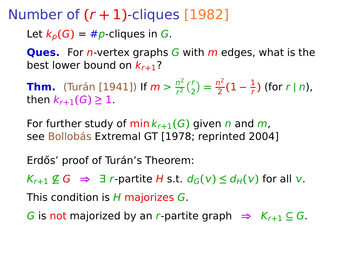Let  $k_p(G) = \#p$ -cliques in G.

**Ques.** For *n*-vertex graphs G with *m* edges, what is the best lower bound on kr**+**1?

**Thm.** (Turán [1941]) If  $m > \frac{n^2}{r^2}$  $\frac{n^2}{r^2} {r \choose 2} = \frac{n^2}{2}$  $\frac{2^2}{2}(1-\frac{1}{r})$  $\frac{1}{r}$ ) (for  $r | n$ ), **then**  $k_{r+1}$  (*G*) ≥ 1.

For further study of  $\min k_{r+1}(G)$  given n and m, see Bollobás Extremal GT [1978; reprinted 2004]

Erdős' proof of Turán's Theorem:

 $K_{r+1} \nsubseteq G \Rightarrow \exists r$ -partite H s.t.  $d_G(v) \leq d_H(v)$  for all v.

This condition is H majorizes G.

G is not majorized by an r-partite graph  $\Rightarrow$   $K_{r+1} \subseteq G$ .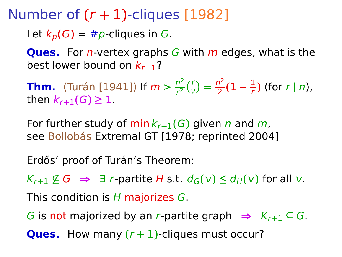Let  $k_p(G) = \#p$ -cliques in G.

**Ques.** For *n*-vertex graphs G with *m* edges, what is the best lower bound on kr**+**1?

**Thm.** (Turán [1941]) If  $m > \frac{n^2}{r^2}$  $\frac{n^2}{r^2} {r \choose 2} = \frac{n^2}{2}$  $\frac{2^2}{2}(1-\frac{1}{r})$  $\frac{1}{r}$ ) (for  $r | n$ ), **then**  $k_{r+1}$  (*G*) ≥ 1.

For further study of  $\min k_{r+1}(G)$  given n and m, see Bollobás Extremal GT [1978; reprinted 2004]

Erdős' proof of Turán's Theorem:

 $K_{r+1} \nsubseteq G \Rightarrow \exists r$ -partite H s.t.  $d_G(v) \leq d_H(v)$  for all v.

This condition is H majorizes G.

G is not majorized by an r-partite graph  $\Rightarrow$   $K_{r+1} \subseteq G$ .

**Ques.** How many  $(r + 1)$ -cliques must occur?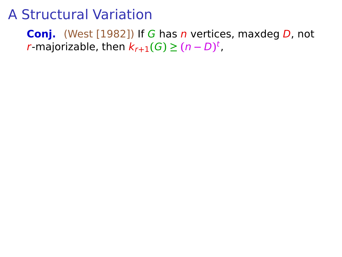**Conj.** (West [1982]) If G has n vertices, maxdeg D, not *r***-majorizable, then**  $k_{r+1}(G) \geq (n-D)^t$ **,**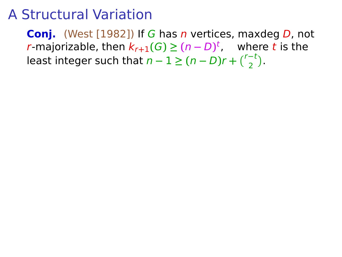**Conj.** (West [1982]) If G has n vertices, maxdeg D, not *r***-majorizable, then**  $k_{r+1}(G) \geq (n-D)^t$ **, where t is the** least integer such that  $n - 1 \ge (n - D)r + {r-t \choose 2}$ .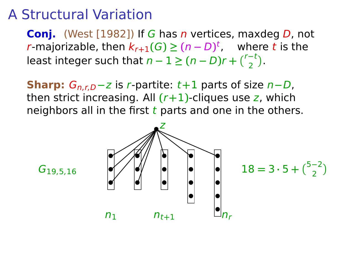**Conj.** (West [1982]) If G has n vertices, maxdeg D, not *r***-majorizable, then**  $k_{r+1}(G) \geq (n-D)^t$ **, where t is the** least integer such that  $n - 1 \ge (n - D)r + {r-t \choose 2}$ .

**Sharp:**  $G_{n,r,D}$ −z is r-partite: t+1 parts of size n−D, then strict increasing. All  $(r+1)$ -cliques use z, which neighbors all in the first  $t$  parts and one in the others.

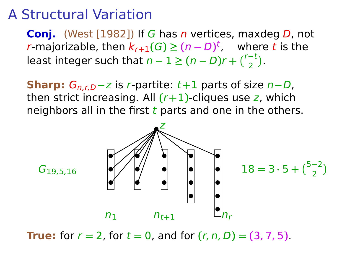**Conj.** (West [1982]) If G has n vertices, maxdeg D, not *r***-majorizable, then**  $k_{r+1}(G) \geq (n-D)^t$ **, where t is the** least integer such that  $n - 1 \ge (n - D)r + {r-t \choose 2}$ .

**Sharp:**  $G_{n,r,D}$ −z is r-partite: t+1 parts of size n−D, then strict increasing. All  $(r+1)$ -cliques use z, which neighbors all in the first  $t$  parts and one in the others.



**True:** for  $r = 2$ , for  $t = 0$ , and for  $(r, n, D) = (3, 7, 5)$ .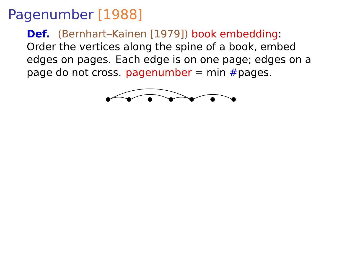**Def.** (Bernhart–Kainen [1979]) book embedding: Order the vertices along the spine of a book, embed edges on pages. Each edge is on one page; edges on a page do not cross. pagenumber = min  $#$ pages.

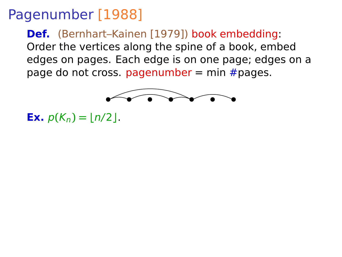**Def.** (Bernhart–Kainen [1979]) book embedding: Order the vertices along the spine of a book, embed edges on pages. Each edge is on one page; edges on a page do not cross. pagenumber = min  $#$ pages.



**Ex.**  $p(K_n) = |n/2|$ .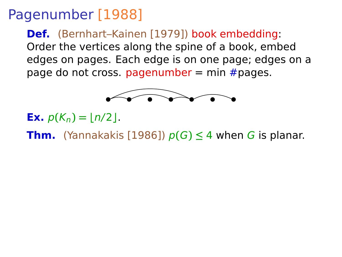**Def.** (Bernhart–Kainen [1979]) book embedding: Order the vertices along the spine of a book, embed edges on pages. Each edge is on one page; edges on a page do not cross. pagenumber = min  $#$ pages.



- **Ex.**  $p(K_n) = |n/2|$ .
- **Thm.** (Yannakakis [1986])  $p(G) \leq 4$  when G is planar.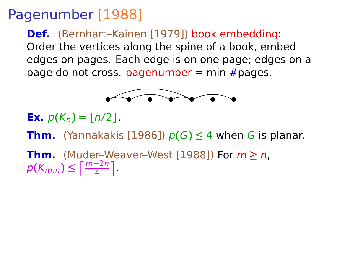**Def.** (Bernhart–Kainen [1979]) book embedding: Order the vertices along the spine of a book, embed edges on pages. Each edge is on one page; edges on a page do not cross. pagenumber  $=$  min  $#$  pages.



- **Ex.**  $p(K_n) = |n/2|$ .
- **Thm.** (Yannakakis [1986])  $p(G) \leq 4$  when G is planar.

**Thm.** (Muder–Weaver–West [1988]) For m **≥** n,  $p(K_{m,n}) \leq \left\lceil \frac{m+2n}{4} \right\rceil$ .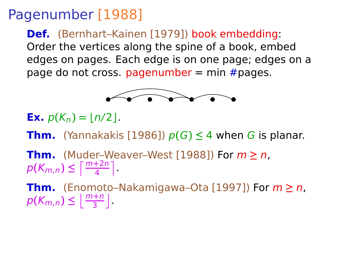**Def.** (Bernhart–Kainen [1979]) book embedding: Order the vertices along the spine of a book, embed edges on pages. Each edge is on one page; edges on a page do not cross. pagenumber = min  $#$ pages.



- **Ex.**  $p(K_n) = |n/2|$ .
- **Thm.** (Yannakakis [1986])  $p(G) \leq 4$  when G is planar.
- **Thm.** (Muder–Weaver–West [1988]) For m **≥** n,  $p(K_{m,n}) \leq \left\lceil \frac{m+2n}{4} \right\rceil$ .
- **Thm.** (Enomoto–Nakamigawa–Ota [1997]) For m **≥** n,  $p(K_{m,n}) \leq \left\lfloor \frac{m+n}{3} \right\rfloor$ .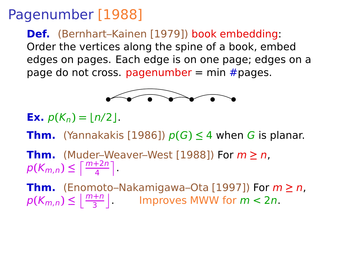**Def.** (Bernhart–Kainen [1979]) book embedding: Order the vertices along the spine of a book, embed edges on pages. Each edge is on one page; edges on a page do not cross. pagenumber = min  $#$ pages.



- **Ex.**  $p(K_n) = |n/2|$ .
- **Thm.** (Yannakakis [1986])  $p(G) \leq 4$  when G is planar.
- **Thm.** (Muder–Weaver–West [1988]) For m **≥** n,  $p(K_{m,n}) \leq \left\lceil \frac{m+2n}{4} \right\rceil$ .

**Thm.** (Enomoto–Nakamigawa–Ota [1997]) For m **≥** n,  $p(K_{m,n}) \leq \left\lfloor \frac{m+n}{3} \right\rfloor$  Improves MWW for  $m < 2n$ .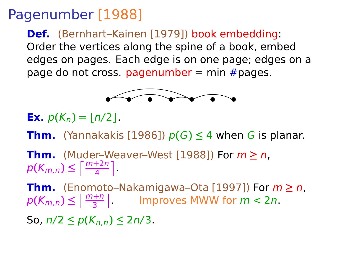**Def.** (Bernhart–Kainen [1979]) book embedding: Order the vertices along the spine of a book, embed edges on pages. Each edge is on one page; edges on a page do not cross. pagenumber = min  $#$ pages.



- **Ex.**  $p(K_n) = |n/2|$ .
- **Thm.** (Yannakakis [1986])  $p(G) \leq 4$  when G is planar.
- **Thm.** (Muder–Weaver–West [1988]) For m **≥** n,  $p(K_{m,n}) \leq \left\lceil \frac{m+2n}{4} \right\rceil$ .
- **Thm.** (Enomoto–Nakamigawa–Ota [1997]) For m **≥** n,  $p(K_{m,n}) \leq \left\lfloor \frac{m+n}{3} \right\rfloor$  Improves MWW for  $m < 2n$ .
- So, n/2 **≤** p**(**Kn,n**) ≤** 2n/3.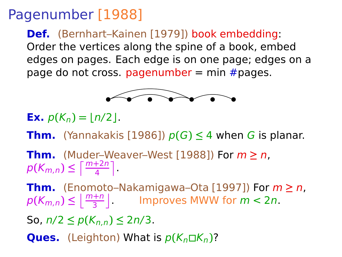**Def.** (Bernhart–Kainen [1979]) book embedding: Order the vertices along the spine of a book, embed edges on pages. Each edge is on one page; edges on a page do not cross. pagenumber = min  $#$ pages.



- **Ex.**  $p(K_n) = |n/2|$ .
- **Thm.** (Yannakakis [1986])  $p(G) \leq 4$  when G is planar.
- **Thm.** (Muder–Weaver–West [1988]) For m **≥** n,  $p(K_{m,n}) \leq \left\lceil \frac{m+2n}{4} \right\rceil$ .
- **Thm.** (Enomoto–Nakamigawa–Ota [1997]) For m **≥** n,  $p(K_{m,n}) \leq \left\lfloor \frac{m+n}{3} \right\rfloor$  Improves MWW for  $m < 2n$ .
- So, n/2 **≤** p**(**Kn,n**) ≤** 2n/3.
- **Ques.** (Leighton) What is  $p(K_n \Box K_n)$ ?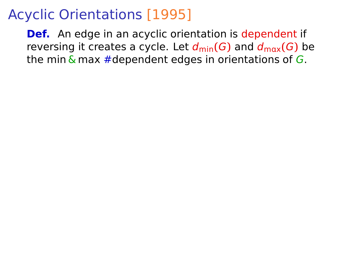**Def.** An edge in an acyclic orientation is dependent if reversing it creates a cycle. Let  $d_{\text{min}}(G)$  and  $d_{\text{max}}(G)$  be the min  $\&$  max #dependent edges in orientations of G.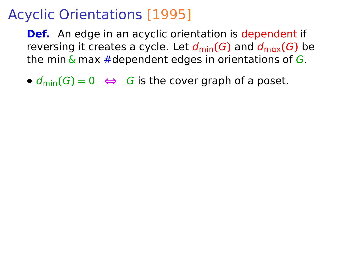**Def.** An edge in an acyclic orientation is dependent if reversing it creates a cycle. Let  $d_{\text{min}}(G)$  and  $d_{\text{max}}(G)$  be the min  $\&$  max #dependent edges in orientations of G.

•  $d_{\text{min}}(G) = 0 \Leftrightarrow G$  is the cover graph of a poset.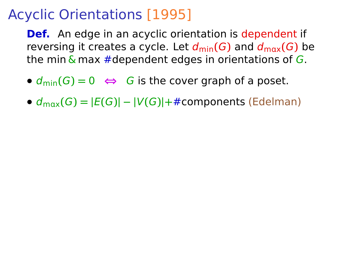**Def.** An edge in an acyclic orientation is dependent if reversing it creates a cycle. Let  $d_{\text{min}}(G)$  and  $d_{\text{max}}(G)$  be the min  $\&$  max #dependent edges in orientations of G.

- $d_{\text{min}}(G) = 0 \Leftrightarrow G$  is the cover graph of a poset.
- **•**  $d_{\text{max}}(G) = |E(G)| |V(G)| + \text{\#components}$  (Edelman)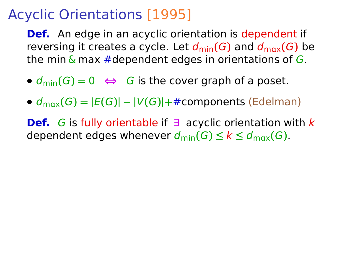**Def.** An edge in an acyclic orientation is dependent if reversing it creates a cycle. Let  $d_{\text{min}}(G)$  and  $d_{\text{max}}(G)$  be the min  $\&$  max #dependent edges in orientations of G.

- $d_{\text{min}}(G) = 0 \Leftrightarrow G$  is the cover graph of a poset.
- **•**  $d_{\text{max}}(G) = |E(G)| |V(G)| + \text{\#components}$  (Edelman)

**Def.** G is fully orientable if ∃ acyclic orientation with k dependent edges whenever  $d_{\min}(G) \leq k \leq d_{\max}(G)$ .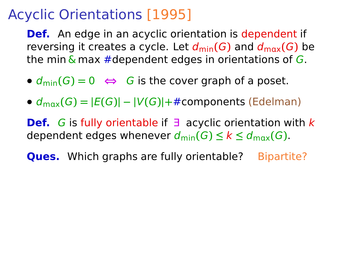**Def.** An edge in an acyclic orientation is dependent if reversing it creates a cycle. Let  $d_{\text{min}}(G)$  and  $d_{\text{max}}(G)$  be the min  $\&$  max #dependent edges in orientations of G.

- $d_{\text{min}}(G) = 0 \Leftrightarrow G$  is the cover graph of a poset.
- **•**  $d_{\text{max}}(G) = |E(G)| |V(G)| + \text{\#components}$  (Edelman)

**Def.** G is fully orientable if ∃ acyclic orientation with k dependent edges whenever  $d_{\min}(G) \leq k \leq d_{\max}(G)$ .

**Ques.** Which graphs are fully orientable? Bipartite?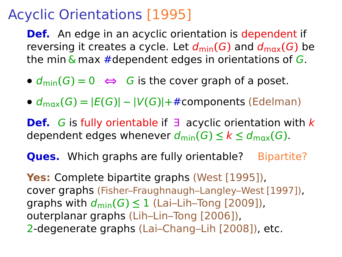**Def.** An edge in an acyclic orientation is dependent if reversing it creates a cycle. Let  $d_{\text{min}}(G)$  and  $d_{\text{max}}(G)$  be the min  $\&$  max #dependent edges in orientations of G.

- $d_{\text{min}}(G) = 0 \Leftrightarrow G$  is the cover graph of a poset.
- $\bullet$   $d_{\text{max}}(G) = |E(G)| |V(G)| + \text{\#components}$  (Edelman)

**Def.** G is fully orientable if ∃ acyclic orientation with k dependent edges whenever  $d_{\min}(G) \leq k \leq d_{\max}(G)$ .

**Ques.** Which graphs are fully orientable? Bipartite?

**Yes:** Complete bipartite graphs (West [1995]), cover graphs (Fisher–Fraughnaugh–Langley–West [1997]), graphs with  $d_{\min}(G) \leq 1$  (Lai–Lih–Tong [2009]), outerplanar graphs (Lih–Lin–Tong [2006]), 2-degenerate graphs (Lai–Chang–Lih [2008]), etc.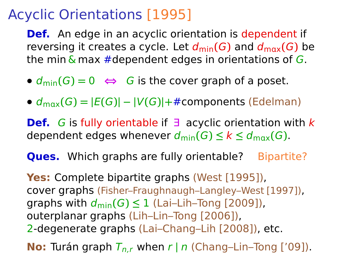**Def.** An edge in an acyclic orientation is dependent if reversing it creates a cycle. Let  $d_{\text{min}}(G)$  and  $d_{\text{max}}(G)$  be the min  $\&$  max #dependent edges in orientations of G.

- $d_{\text{min}}(G) = 0 \Leftrightarrow G$  is the cover graph of a poset.
- $\bullet$   $d_{\text{max}}(G) = |E(G)| |V(G)| + \text{\#components}$  (Edelman)

**Def.** G is fully orientable if ∃ acyclic orientation with k dependent edges whenever  $d_{\min}(G) \leq k \leq d_{\max}(G)$ .

**Ques.** Which graphs are fully orientable? Bipartite?

**Yes:** Complete bipartite graphs (West [1995]), cover graphs (Fisher–Fraughnaugh–Langley–West [1997]), graphs with  $d_{\min}(G) \leq 1$  (Lai–Lih–Tong [2009]), outerplanar graphs (Lih–Lin–Tong [2006]), 2-degenerate graphs (Lai–Chang–Lih [2008]), etc.

**No:** Turán graph  $T_{n,r}$  when r | n (Chang–Lin–Tong ['09]).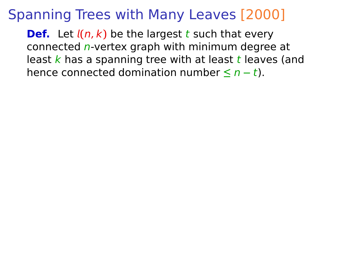**Def.** Let  $l(n, k)$  be the largest t such that every connected n-vertex graph with minimum degree at least  $k$  has a spanning tree with at least  $t$  leaves (and hence connected domination number **≤** n **−** t).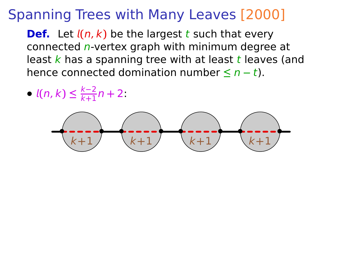**Def.** Let  $l(n, k)$  be the largest t such that every connected n-vertex graph with minimum degree at least  $k$  has a spanning tree with at least  $t$  leaves (and hence connected domination number **≤** n **−** t).

**•**  $l(n, k) \leq \frac{k-2}{k+1}n + 2$ 

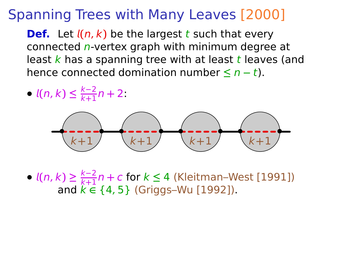**Def.** Let  $l(n, k)$  be the largest t such that every connected n-vertex graph with minimum degree at least  $k$  has a spanning tree with at least  $t$  leaves (and hence connected domination number **≤** n **−** t).

**•**  $l(n, k) \leq \frac{k-2}{k+1}n + 2$ 



**•**  $l(n, k) \geq \frac{k-2}{k+1}n + c$  for  $k \leq 4$  (Kleitman–West [1991]) and k **∈** {4, 5} (Griggs–Wu [1992]).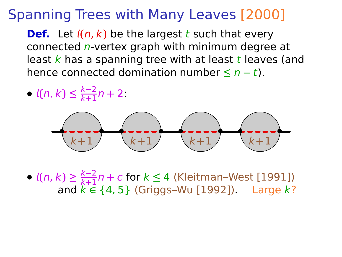**Def.** Let  $l(n, k)$  be the largest t such that every connected n-vertex graph with minimum degree at least  $k$  has a spanning tree with at least  $t$  leaves (and hence connected domination number **≤** n **−** t).

**•**  $l(n, k) \leq \frac{k-2}{k+1}n + 2$ 



**•**  $l(n, k) \geq \frac{k-2}{k+1}n + c$  for  $k \leq 4$  (Kleitman–West [1991]) and k **∈** {4, 5} (Griggs–Wu [1992]). Large k?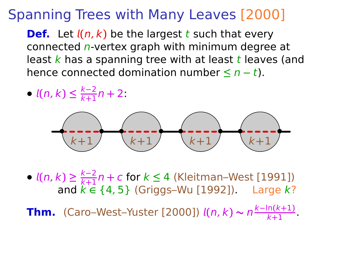**Def.** Let  $l(n, k)$  be the largest t such that every connected n-vertex graph with minimum degree at least  $k$  has a spanning tree with at least  $t$  leaves (and hence connected domination number **≤** n **−** t).

**•**  $l(n, k) \leq \frac{k-2}{k+1}n + 2$ 



**•**  $l(n, k) \geq \frac{k-2}{k+1}n + c$  for  $k \leq 4$  (Kleitman–West [1991]) and k **∈** {4, 5} (Griggs–Wu [1992]). Large k?

**Thm.** (Caro–West–Yuster [2000])  $l(n, k) \sim n^{\frac{k - \ln(k + 1)}{k + 1}}$ .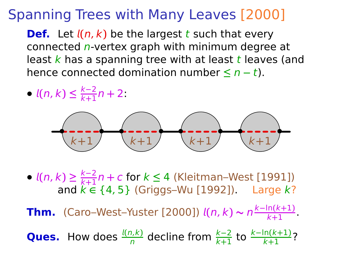**Def.** Let  $l(n, k)$  be the largest t such that every connected n-vertex graph with minimum degree at least  $k$  has a spanning tree with at least  $t$  leaves (and hence connected domination number **≤** n **−** t).

**•**  $l(n, k) \leq \frac{k-2}{k+1}n + 2$ 



**•**  $l(n, k) \geq \frac{k-2}{k+1}n + c$  for  $k \leq 4$  (Kleitman–West [1991]) and k **∈** {4, 5} (Griggs–Wu [1992]). Large k?

**Thm.** (Caro–West–Yuster [2000])  $l(n, k) \sim n^{\frac{k - \ln(k + 1)}{k + 1}}$ .

**Ques.** How does  $\frac{l(n,k)}{n}$  decline from  $\frac{k-2}{k+1}$  to  $\frac{k-\ln(k+1)}{k+1}$ ?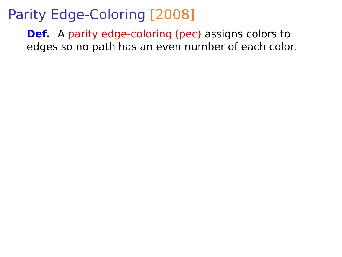**Def.** A parity edge-coloring (pec) assigns colors to edges so no path has an even number of each color.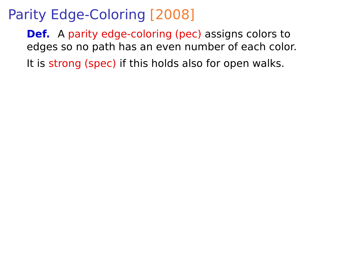**Def.** A parity edge-coloring (pec) assigns colors to edges so no path has an even number of each color.

It is strong (spec) if this holds also for open walks.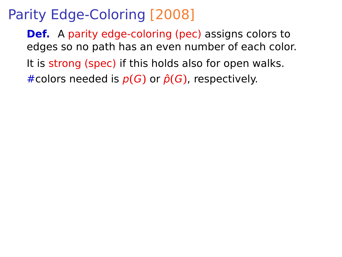**Def.** A parity edge-coloring (pec) assigns colors to edges so no path has an even number of each color.

It is strong (spec) if this holds also for open walks.

 $#$ colors needed is  $p(G)$  or  $\hat{p}(G)$ , respectively.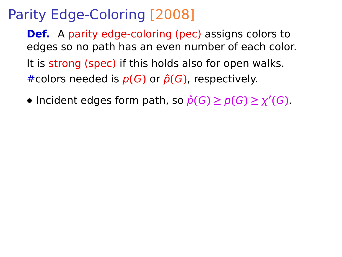**Def.** A parity edge-coloring (pec) assigns colors to edges so no path has an even number of each color. It is strong (spec) if this holds also for open walks.  $#$ colors needed is  $p(G)$  or  $\hat{p}(G)$ , respectively.

• Incident edges form path, so  $\hat{p}(G) \geq p(G) \geq \chi'(G)$ .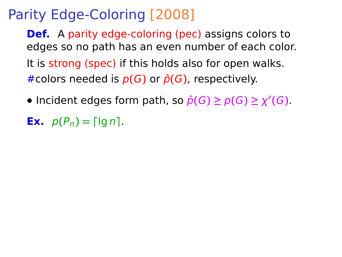**Def.** A parity edge-coloring (pec) assigns colors to edges so no path has an even number of each color. It is strong (spec) if this holds also for open walks.  $#$ colors needed is  $p(G)$  or  $\hat{p}(G)$ , respectively.

- Incident edges form path, so  $\hat{p}(G) \geq p(G) \geq \chi'(G)$ .
- **Ex.**  $p(P_n) = \lceil \ln n \rceil$ .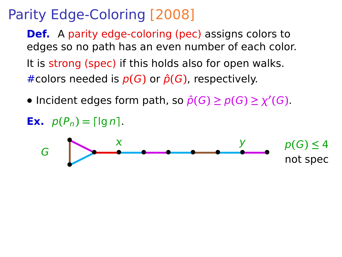**Def.** A parity edge-coloring (pec) assigns colors to edges so no path has an even number of each color. It is strong (spec) if this holds also for open walks.  $\#$ colors needed is  $p(G)$  or  $\hat{p}(G)$ , respectively.

• Incident edges form path, so  $\hat{p}(G) \geq p(G) \geq \chi'(G)$ .



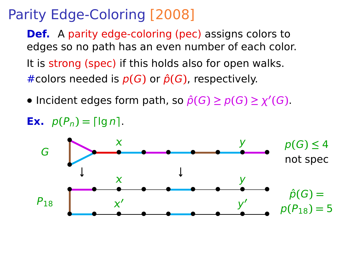**Def.** A parity edge-coloring (pec) assigns colors to edges so no path has an even number of each color. It is strong (spec) if this holds also for open walks.  $#$ colors needed is  $p(G)$  or  $\hat{p}(G)$ , respectively.

- Incident edges form path, so  $\hat{p}(G) \geq p(G) \geq \chi'(G)$ .
- **Ex.**  $p(P_n) = \lceil \lg n \rceil$ .

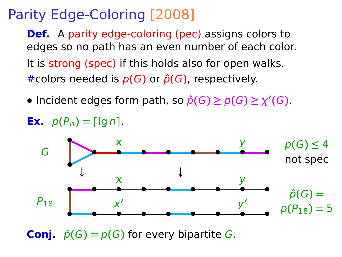**Def.** A parity edge-coloring (pec) assigns colors to edges so no path has an even number of each color. It is strong (spec) if this holds also for open walks.  $#$ colors needed is  $p(G)$  or  $\hat{p}(G)$ , respectively.

- Incident edges form path, so  $\hat{p}(G) \geq p(G) \geq \chi'(G)$ .
- **Ex.**  $p(P_n) = \lceil \lg n \rceil$ .



**Conj.**  $\hat{p}(G) = p(G)$  for every bipartite G.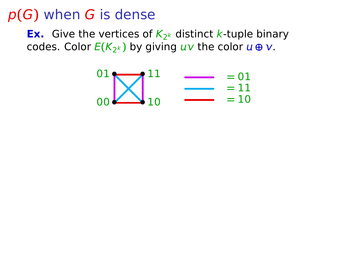**Ex.** Give the vertices of  $K_{2^k}$  distinct k-tuple binary codes. Color <mark>E(K<sub>2</sub>k)</mark> by giving u√ the color u⊕ v.

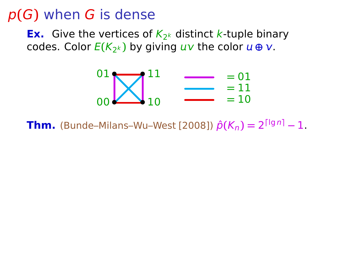**Ex.** Give the vertices of  $K_{2^k}$  distinct k-tuple binary codes. Color <mark>E(K<sub>2</sub>k)</mark> by giving u√ the color u⊕ v.

$$
\begin{array}{c}\n01 \\
00\n\end{array}\n\begin{array}{c}\n11 \\
\phantom{000}\n\end{array}\n\begin{array}{c}\n= 01 \\
\phantom{000}\n\end{array}\n\begin{array}{c}\n= 01 \\
= 11 \\
= 10\n\end{array}
$$

**Thm.** (Bunde–Milans–Wu–West [2008])  $\hat{p}(K_n) = 2^{\lceil \lg n \rceil} - 1$ .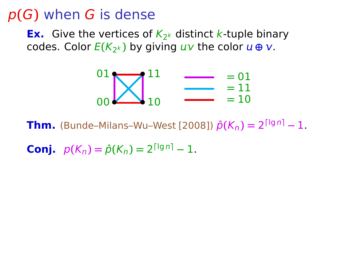**Ex.** Give the vertices of  $K_{2^k}$  distinct k-tuple binary codes. Color <mark>E(K<sub>2</sub>k)</mark> by giving u√ the color u⊕ v.

$$
\begin{array}{c}\n01 \\
00\n\end{array}\n\begin{array}{c}\n11 \\
\phantom{000}\n\end{array}\n\begin{array}{c}\n= 01 \\
\phantom{000}\n\end{array}\n\begin{array}{c}\n= 01 \\
= 11 \\
= 10\n\end{array}
$$

**Thm.** (Bunde–Milans–Wu–West [2008])  $\hat{p}(K_n) = 2^{\lceil \lg n \rceil} - 1$ .

**Conj.**  $p(K_n) = \hat{p}(K_n) = 2^{\lceil \lg n \rceil} - 1.$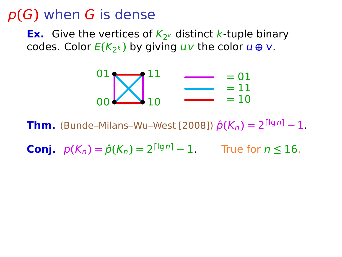**Ex.** Give the vertices of  $K_{2^k}$  distinct k-tuple binary codes. Color <mark>E(K<sub>2</sub>k)</mark> by giving u√ the color u⊕ v.

$$
\begin{array}{c}\n01 \\
00\n\end{array}\n\begin{array}{c}\n\boxed{11} \\
\boxed{10}\n\end{array}\n\begin{array}{c}\n= 01 \\
= 11 \\
= 10\n\end{array}
$$

**Thm.** (Bunde–Milans–Wu–West [2008])  $\hat{p}(K_n) = 2^{\lceil \lg n \rceil} - 1$ .

**Conj.**  $p(K_n) = \hat{p}(K_n) = 2^{\lceil \lg n \rceil} - 1$ . True for  $n \le 16$ .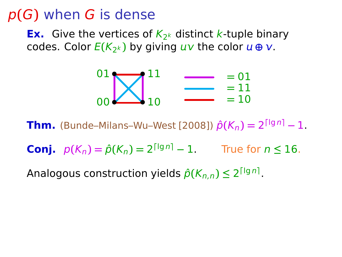**Ex.** Give the vertices of  $K_{2^k}$  distinct k-tuple binary codes. Color <mark>E(K<sub>2</sub>k)</mark> by giving u√ the color u⊕ v.

$$
\begin{array}{c}\n01 \\
00\n\end{array}\n\begin{array}{c}\n11 \\
\phantom{000}\n\end{array}\n\begin{array}{c}\n= 01 \\
\phantom{000}\n\end{array}\n\begin{array}{c}\n= 01 \\
= 11 \\
= 10\n\end{array}
$$

**Thm.** (Bunde–Milans–Wu–West [2008])  $\hat{p}(K_n) = 2^{\lceil \lg n \rceil} - 1$ .

**Conj.**  $p(K_n) = \hat{p}(K_n) = 2^{\lceil \lg n \rceil} - 1$ . True for  $n \le 16$ .

Analogous construction yields  $\hat{p}(K_{n,n}) \leq 2^{\lceil \lg n \rceil}$ .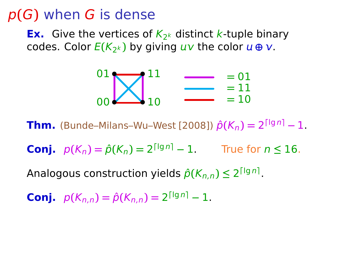**Ex.** Give the vertices of  $K_{2^k}$  distinct k-tuple binary codes. Color <mark>E(K<sub>2</sub>k)</mark> by giving u√ the color u⊕ v.

$$
\begin{array}{c}\n01 \\
00\n\end{array}\n\begin{array}{c}\n11 \\
\phantom{000}\n\end{array}\n\begin{array}{c}\n= 01 \\
\phantom{000}\n\end{array}\n\begin{array}{c}\n= 01 \\
= 11 \\
= 10\n\end{array}
$$

**Thm.** (Bunde–Milans–Wu–West [2008])  $\hat{p}(K_n) = 2^{\lceil \lg n \rceil} - 1$ .

**Conj.**  $p(K_n) = \hat{p}(K_n) = 2^{\lceil \lg n \rceil} - 1$ . True for  $n \le 16$ .

Analogous construction yields  $\hat{p}(K_{n,n}) \leq 2^{\lceil \lg n \rceil}$ .

**Conj.**  $p(K_{n,n}) = \hat{p}(K_{n,n}) = 2^{\lceil \lg n \rceil} - 1.$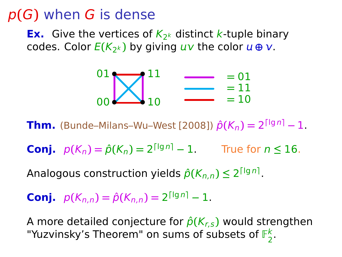**Ex.** Give the vertices of  $K_{2^k}$  distinct k-tuple binary codes. Color <mark>E(K<sub>2</sub>k)</mark> by giving u√ the color u⊕ v.

$$
\begin{array}{c}\n01 \\
00\n\end{array}\n\begin{array}{c}\n11 \\
\phantom{000}\n\end{array}\n\begin{array}{c}\n= 01 \\
\phantom{000}\n\end{array}\n\begin{array}{c}\n= 01 \\
= 11 \\
= 10\n\end{array}
$$

**Thm.** (Bunde–Milans–Wu–West [2008])  $\hat{p}(K_n) = 2^{\lceil \lg n \rceil} - 1$ .

**Conj.**  $p(K_n) = \hat{p}(K_n) = 2^{\lceil \lg n \rceil} - 1$ . True for  $n \le 16$ .

Analogous construction yields  $\hat{p}(K_{n,n}) \leq 2^{\lceil \lg n \rceil}$ .

**Conj.**  $p(K_{n,n}) = \hat{p}(K_{n,n}) = 2^{\lceil \lg n \rceil} - 1.$ 

A more detailed conjecture for  $\hat{p}(K_{r,s})$  would strengthen "Yuzvinsky's Theorem" on sums of subsets of  $\mathbb{F}_2^k$ 2 .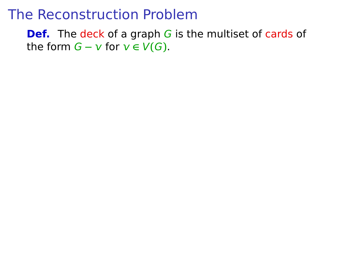**Def.** The deck of a graph G is the multiset of cards of the form  $G - v$  for  $v \in V(G)$ .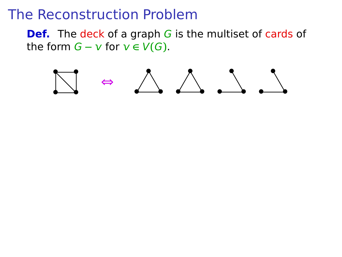**Def.** The deck of a graph G is the multiset of cards of the form  $G - v$  for  $v \in V(G)$ .

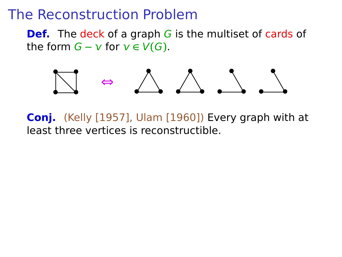**Def.** The deck of a graph G is the multiset of cards of the form  $G - v$  for  $v \in V(G)$ .



**Conj.** (Kelly [1957], Ulam [1960]) Every graph with at least three vertices is reconstructible.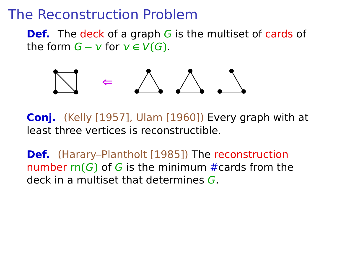**Def.** The deck of a graph G is the multiset of cards of the form  $G - v$  for  $v \in V(G)$ .



**Conj.** (Kelly [1957], Ulam [1960]) Every graph with at least three vertices is reconstructible.

**Def.** (Harary–Plantholt [1985]) The reconstruction number rn**(**G**)** of G is the minimum #cards from the deck in a multiset that determines G.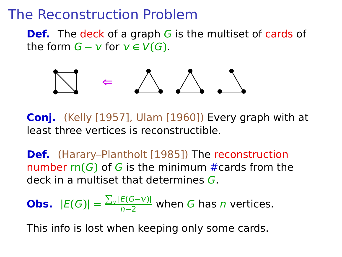**Def.** The deck of a graph G is the multiset of cards of the form  $G - v$  for  $v \in V(G)$ .



**Conj.** (Kelly [1957], Ulam [1960]) Every graph with at least three vertices is reconstructible.

**Def.** (Harary–Plantholt [1985]) The reconstruction number rn**(**G**)** of G is the minimum #cards from the deck in a multiset that determines G.

**Obs.** 
$$
|E(G)| = \frac{\sum_{v} |E(G-v)|}{n-2}
$$
 when *G* has *n* vertices.

This info is lost when keeping only some cards.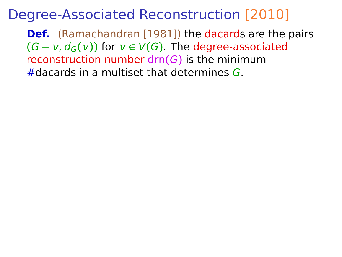**Def.** (Ramachandran [1981]) the dacards are the pairs  $(G - v, d_G(v))$  for  $v \in V(G)$ . The degree-associated reconstruction number drn**(**G**)** is the minimum #dacards in a multiset that determines G.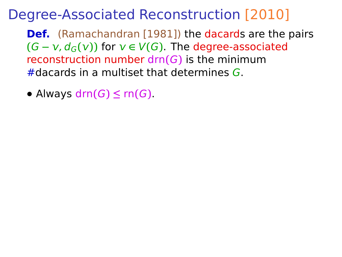**Def.** (Ramachandran [1981]) the dacards are the pairs  $(G - v, d_G(v))$  for  $v \in V(G)$ . The degree-associated reconstruction number drn**(**G**)** is the minimum #dacards in a multiset that determines G.

• Always  $\text{drn}(G) \leq \text{rn}(G)$ .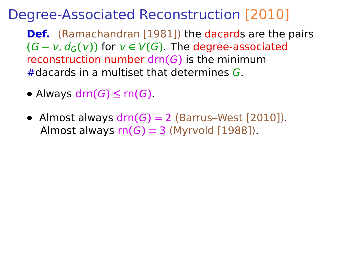**Def.** (Ramachandran [1981]) the dacards are the pairs  $(G - v, d_G(v))$  for  $v \in V(G)$ . The degree-associated reconstruction number drn**(**G**)** is the minimum #dacards in a multiset that determines G.

- Always  $\text{drn}(G) \leq \text{rn}(G)$ .
- **•** Almost always drn**(**G**) =** 2 (Barrus–West [2010]). Almost always  $rn(G) = 3$  (Myrvold [1988]).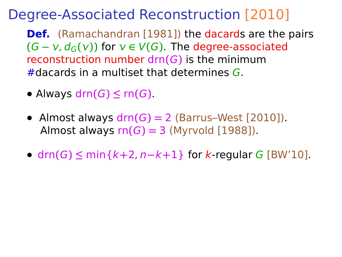**Def.** (Ramachandran [1981]) the dacards are the pairs  $(G - v, d_G(v))$  for  $v \in V(G)$ . The degree-associated reconstruction number drn**(**G**)** is the minimum #dacards in a multiset that determines G.

- Always  $\text{drn}(G) \leq \text{rn}(G)$ .
- **•** Almost always drn**(**G**) =** 2 (Barrus–West [2010]). Almost always  $rn(G) = 3$  (Myrvold [1988]).
- **•** drn**(**G**) ≤** min{k**+**2, n**−**k**+**1} for k-regular G [BW'10].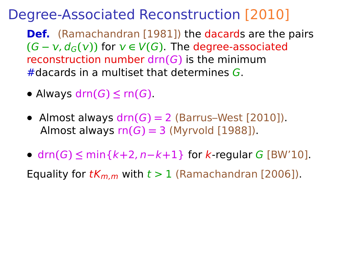**Def.** (Ramachandran [1981]) the dacards are the pairs  $(G - v, d_G(v))$  for  $v \in V(G)$ . The degree-associated reconstruction number drn**(**G**)** is the minimum #dacards in a multiset that determines G.

- Always  $\text{drn}(G) \leq \text{rn}(G)$ .
- **•** Almost always drn**(**G**) =** 2 (Barrus–West [2010]). Almost always  $rn(G) = 3$  (Myrvold [1988]).
- **•** drn**(**G**) ≤** min{k**+**2, n**−**k**+**1} for k-regular G [BW'10].

Equality for  $tK_{m,m}$  with  $t > 1$  (Ramachandran [2006]).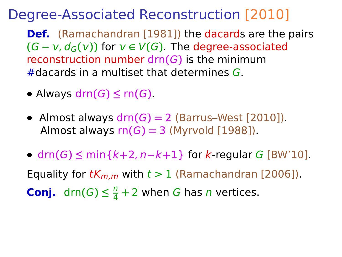**Def.** (Ramachandran [1981]) the dacards are the pairs  $(G - v, d_G(v))$  for  $v \in V(G)$ . The degree-associated reconstruction number drn**(**G**)** is the minimum #dacards in a multiset that determines G.

- **•** Always drn**(**G**) ≤** rn**(**G**)**.
- **•** Almost always drn**(**G**) =** 2 (Barrus–West [2010]). Almost always  $rn(G) = 3$  (Myrvold [1988]).
- **•** drn**(**G**) ≤** min{k**+**2, n**−**k**+**1} for k-regular G [BW'10]. Equality for  $tK_{m,m}$  with  $t > 1$  (Ramachandran [2006]). **Conj.** drn $(G) \leq \frac{n}{4}$  $\frac{n}{4}$  + 2 when *G* has *n* vertices.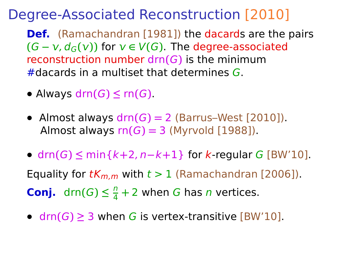**Def.** (Ramachandran [1981]) the dacards are the pairs  $(G - v, d_G(v))$  for  $v \in V(G)$ . The degree-associated reconstruction number drn**(**G**)** is the minimum #dacards in a multiset that determines G.

- **•** Always drn**(**G**) ≤** rn**(**G**)**.
- **•** Almost always drn**(**G**) =** 2 (Barrus–West [2010]). Almost always  $rn(G) = 3$  (Myrvold [1988]).
- **•** drn**(**G**) ≤** min{k**+**2, n**−**k**+**1} for k-regular G [BW'10]. Equality for  $tK_{m,m}$  with  $t > 1$  (Ramachandran [2006]). **Conj.** drn $(G) \leq \frac{n}{4}$  $\frac{n}{4}$  + 2 when *G* has *n* vertices.
- **•** drn**(**G**) ≥** 3 when G is vertex-transitive [BW'10].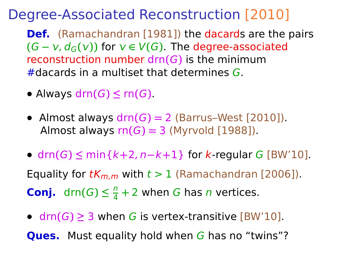**Def.** (Ramachandran [1981]) the dacards are the pairs  $(G - v, d_G(v))$  for  $v \in V(G)$ . The degree-associated reconstruction number drn**(**G**)** is the minimum #dacards in a multiset that determines G.

- Always  $\text{drn}(G) \leq \text{rn}(G)$ .
- **•** Almost always drn**(**G**) =** 2 (Barrus–West [2010]). Almost always  $rn(G) = 3$  (Myrvold [1988]).
- **•** drn**(**G**) ≤** min{k**+**2, n**−**k**+**1} for k-regular G [BW'10]. Equality for  $tK_{m,m}$  with  $t > 1$  (Ramachandran [2006]). **Conj.** drn $(G) \leq \frac{n}{4}$  $\frac{n}{4}$  + 2 when *G* has *n* vertices.
- **•** drn**(**G**) ≥** 3 when G is vertex-transitive [BW'10].

**Ques.** Must equality hold when G has no "twins"?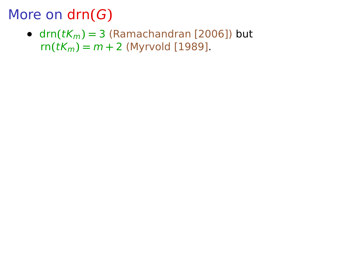•  $\text{drn}(tK_m) = 3$  (Ramachandran [2006]) but  $rn(tK_m) = m + 2$  (Myrvold [1989].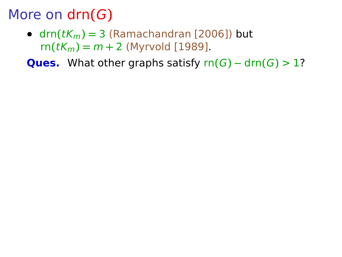•  $drn(tK_m) = 3$  (Ramachandran [2006]) but  $rn(tK_m) = m + 2$  (Myrvold [1989].

**Ques.** What other graphs satisfy  $rn(G) - drn(G) > 1$ ?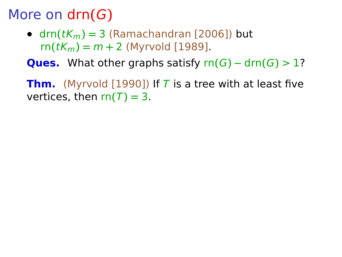•  $\text{drn}(tK_m) = 3$  (Ramachandran [2006]) but  $rn(tK_m) = m + 2$  (Myrvold [1989].

**Ques.** What other graphs satisfy  $rn(G) - drn(G) > 1$ ?

**Thm.** (Myrvold [1990]) If T is a tree with at least five vertices, then  $rn(T) = 3$ .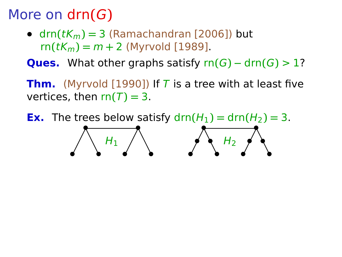**•**

**• •**

•  $dm(tK_m) = 3$  (Ramachandran [2006]) but  $rn(tK_m) = m + 2$  (Myrvold [1989].

**Ques.** What other graphs satisfy  $rn(G) - drn(G) > 1$ ?

**Thm.** (Myrvold [1990]) If T is a tree with at least five vertices, then  $rn(T) = 3$ .

**Ex.** The trees below satisfy  $\text{drn}(H_1) = \text{drn}(H_2) = 3$ . **• •**  $H_1$ **• •**  $H<sub>2</sub>$ 

**•**

**• •**

**•**

**•**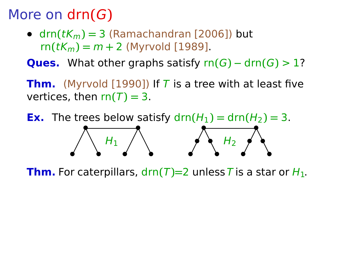•  $dm(tK_m) = 3$  (Ramachandran [2006]) but  $rn(tK_m) = m + 2$  (Myrvold [1989].

**Ques.** What other graphs satisfy  $rn(G) - drn(G) > 1$ ?

**Thm.** (Myrvold [1990]) If T is a tree with at least five vertices, then  $rn(T) = 3$ .

**Ex.** The trees below satisfy  $\text{drn}(H_1) = \text{drn}(H_2) = 3$ . **• • • • • •**  $H_1$ **• • • • • •**  $H<sub>2</sub>$ 

**Thm.** For caterpillars,  $\text{d}rn(T)=2$  unless T is a star or  $H_1$ .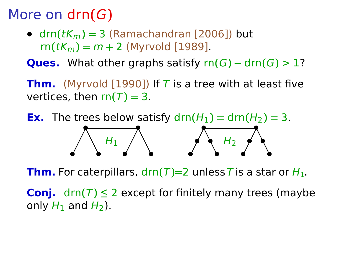•  $\text{drn}(tK_m) = 3$  (Ramachandran [2006]) but  $rn(tK_m) = m + 2$  (Myrvold [1989].

**Ques.** What other graphs satisfy  $rn(G) - drn(G) > 1$ ?

**Thm.** (Myrvold [1990]) If T is a tree with at least five vertices, then  $rn(T) = 3$ .

**Ex.** The trees below satisfy  $\text{drn}(H_1) = \text{drn}(H_2) = 3$ . **• • • • • •**  $H_1$ **• • • • • •**  $H<sub>2</sub>$ 

**Thm.** For caterpillars,  $\text{drn}(T) = 2$  unless T is a star or  $H_1$ .

**Conj.** drn $(T) \leq 2$  except for finitely many trees (maybe only  $H_1$  and  $H_2$ ).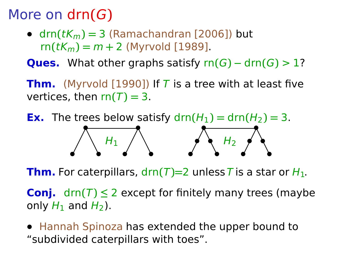**•**

**• •**

•  $\text{drn}(tK_m) = 3$  (Ramachandran [2006]) but  $rn(tK_m) = m + 2$  (Myrvold [1989].

**Ques.** What other graphs satisfy  $rn(G) - drn(G) > 1$ ?

**Thm.** (Myrvold [1990]) If T is a tree with at least five vertices, then  $rn(T) = 3$ .

**Ex.** The trees below satisfy  $\text{drn}(H_1) = \text{drn}(H_2) = 3$ . **• •**  $H_1$ **• •**  $H<sub>2</sub>$ 

**•**

**Thm.** For caterpillars,  $\text{d}rn(T)=2$  unless T is a star or  $H_1$ .

**•**

**• •**

**•**

**Conj.** drn $(T) \leq 2$  except for finitely many trees (maybe only  $H_1$  and  $H_2$ ).

**•** Hannah Spinoza has extended the upper bound to "subdivided caterpillars with toes".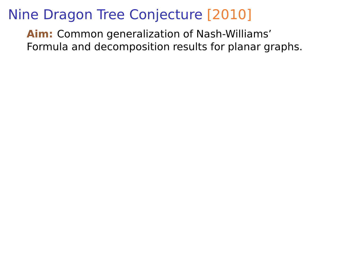**Aim:** Common generalization of Nash-Williams' Formula and decomposition results for planar graphs.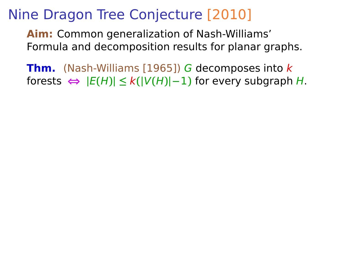**Aim:** Common generalization of Nash-Williams' Formula and decomposition results for planar graphs.

**Thm.** (Nash-Williams [1965]) G decomposes into k forests  $\Leftrightarrow$   $|E(H)| \leq k(|V(H)|-1)$  for every subgraph *H*.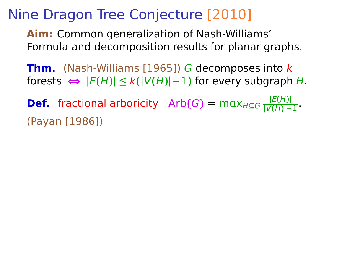**Aim:** Common generalization of Nash-Williams' Formula and decomposition results for planar graphs.

**Thm.** (Nash-Williams [1965]) G decomposes into k  $H:$  forests  $\Leftrightarrow$   $|E(H)| \leq k(|V(H)|-1)$  for every subgraph H.

**Def.** fractional arboricity  $Arb(G) = max_{H \subseteq G} \frac{|E(H)|}{|V(H)|-1}$  $\frac{|E(H)|}{|V(H)|-1}$ . (Payan [1986])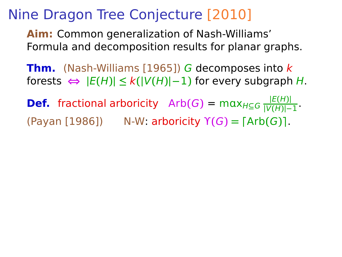**Aim:** Common generalization of Nash-Williams' Formula and decomposition results for planar graphs.

**Thm.** (Nash-Williams [1965]) G decomposes into k  $H:$  forests  $\Leftrightarrow$   $|E(H)| \leq k(|V(H)|-1)$  for every subgraph H.

**Def.** fractional arboricity  $Arb(G) = max_{H \subseteq G} \frac{|E(H)|}{|V(H)|-1}$  $\frac{|E(H)|}{|V(H)|-1}$ . (Payan [1986]) N-W: arboricity ϒ**(**G**) = ⌈**Arb**(**G**)⌉**.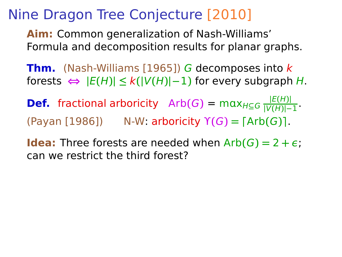**Aim:** Common generalization of Nash-Williams' Formula and decomposition results for planar graphs.

**Thm.** (Nash-Williams [1965]) G decomposes into k  $H:$  forests  $\Leftrightarrow$   $|E(H)| \leq k(|V(H)|-1)$  for every subgraph H.

**Def.** fractional arboricity  $Arb(G) = max_{H \subseteq G} \frac{|E(H)|}{|V(H)|-1}$  $\frac{|E(H)|}{|V(H)|-1}$ .  $(Y \cap Y \cap Y) = \lceil (X \cap Y) \cap (Y \cap Y) \rceil$ . **N-W:** arboricity  $Y(G) = \lceil (A \cap Y) \cap (G) \rceil$ .

**Idea:** Three forests are needed when  $Arb(G) = 2 + \epsilon$ ; can we restrict the third forest?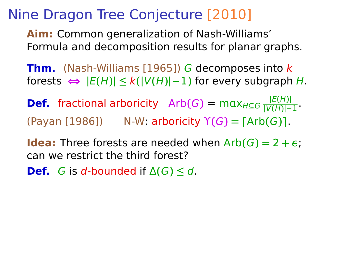**Aim:** Common generalization of Nash-Williams' Formula and decomposition results for planar graphs.

**Thm.** (Nash-Williams [1965]) G decomposes into k  $H:$  forests  $\Leftrightarrow$   $|E(H)| \leq k(|V(H)|-1)$  for every subgraph H.

**Def.** fractional arboricity  $Arb(G) = max_{H \subseteq G} \frac{|E(H)|}{|V(H)|-1}$  $\frac{|E(H)|}{|V(H)|-1}$ .  $(Y \cap Y \cap Y) = \lceil (X \cap Y) \cap (Y \cap Y) \rceil$ . **N-W:** arboricity  $Y(G) = \lceil (A \cap Y) \cap (G) \rceil$ .

**Idea:** Three forests are needed when  $Arb(G) = 2 + \epsilon$ ; can we restrict the third forest?

**Def.** G is d-bounded if  $\Delta(G) \leq d$ .